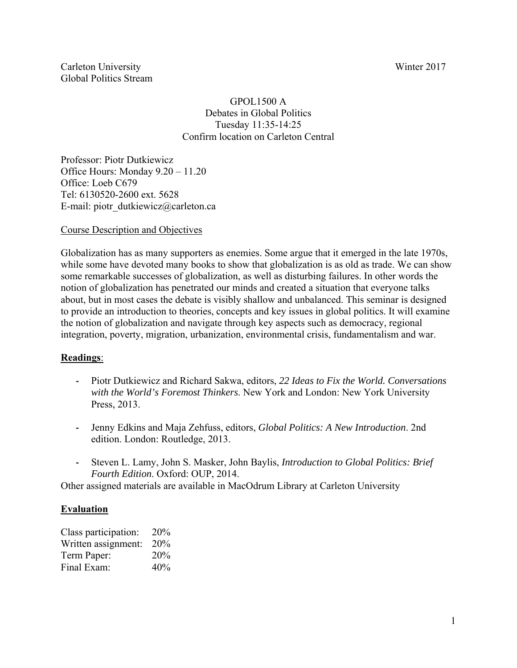Carleton University Winter 2017 Global Politics Stream

#### GPOL1500 A Debates in Global Politics Tuesday 11:35-14:25 Confirm location on Carleton Central

Professor: Piotr Dutkiewicz Office Hours: Monday 9.20 – 11.20 Office: Loeb C679 Tel: 6130520-2600 ext. 5628 E-mail: piotr\_dutkiewicz@carleton.ca

#### Course Description and Objectives

Globalization has as many supporters as enemies. Some argue that it emerged in the late 1970s, while some have devoted many books to show that globalization is as old as trade. We can show some remarkable successes of globalization, as well as disturbing failures. In other words the notion of globalization has penetrated our minds and created a situation that everyone talks about, but in most cases the debate is visibly shallow and unbalanced. This seminar is designed to provide an introduction to theories, concepts and key issues in global politics. It will examine the notion of globalization and navigate through key aspects such as democracy, regional integration, poverty, migration, urbanization, environmental crisis, fundamentalism and war.

## **Readings**:

- **‐** Piotr Dutkiewicz and Richard Sakwa, editors, *22 Ideas to Fix the World. Conversations with the World's Foremost Thinkers*. New York and London: New York University Press, 2013.
- **‐** Jenny Edkins and Maja Zehfuss, editors, *Global Politics: A New Introduction*. 2nd edition. London: Routledge, 2013.
- **‐** Steven L. Lamy, John S. Masker, John Baylis, *Introduction to Global Politics: Brief Fourth Edition*. Oxford: OUP, 2014.

Other assigned materials are available in MacOdrum Library at Carleton University

## **Evaluation**

| Class participation: | 20% |
|----------------------|-----|
| Written assignment:  | 20% |
| Term Paper:          | 20% |
| Final Exam:          | 40% |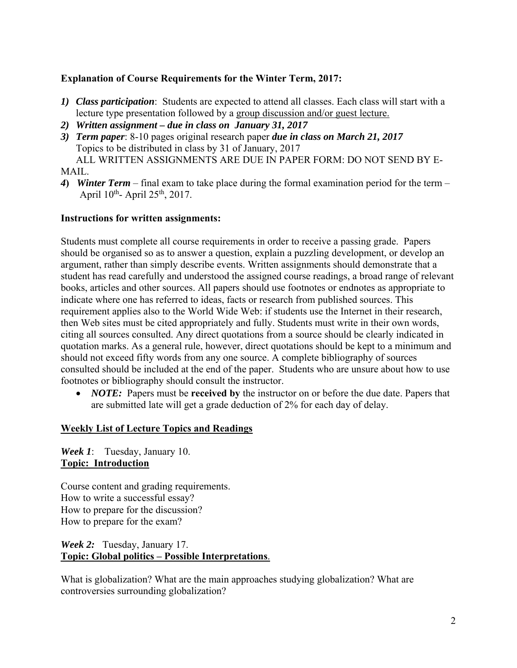## **Explanation of Course Requirements for the Winter Term, 2017:**

- *1) Class participation*: Students are expected to attend all classes. Each class will start with a lecture type presentation followed by a group discussion and/or guest lecture.
- *2) Written assignment due in class on January 31, 2017*
- *3) Term paper*: 8-10 pages original research paper *due in class on March 21, 2017* Topics to be distributed in class by 31 of January, 2017 ALL WRITTEN ASSIGNMENTS ARE DUE IN PAPER FORM: DO NOT SEND BY E-

MAIL.

*4***)** *Winter Term* – final exam to take place during the formal examination period for the term – April  $10^{th}$ - April  $25^{th}$ , 2017.

#### **Instructions for written assignments:**

Students must complete all course requirements in order to receive a passing grade. Papers should be organised so as to answer a question, explain a puzzling development, or develop an argument, rather than simply describe events. Written assignments should demonstrate that a student has read carefully and understood the assigned course readings, a broad range of relevant books, articles and other sources. All papers should use footnotes or endnotes as appropriate to indicate where one has referred to ideas, facts or research from published sources. This requirement applies also to the World Wide Web: if students use the Internet in their research, then Web sites must be cited appropriately and fully. Students must write in their own words, citing all sources consulted. Any direct quotations from a source should be clearly indicated in quotation marks. As a general rule, however, direct quotations should be kept to a minimum and should not exceed fifty words from any one source. A complete bibliography of sources consulted should be included at the end of the paper. Students who are unsure about how to use footnotes or bibliography should consult the instructor.

• *NOTE:* Papers must be **received by** the instructor on or before the due date. Papers that are submitted late will get a grade deduction of 2% for each day of delay.

## **Weekly List of Lecture Topics and Readings**

*Week 1*: Tuesday, January 10. **Topic: Introduction**

Course content and grading requirements. How to write a successful essay? How to prepare for the discussion? How to prepare for the exam?

## *Week 2:* Tuesday, January 17. **Topic: Global politics – Possible Interpretations**.

What is globalization? What are the main approaches studying globalization? What are controversies surrounding globalization?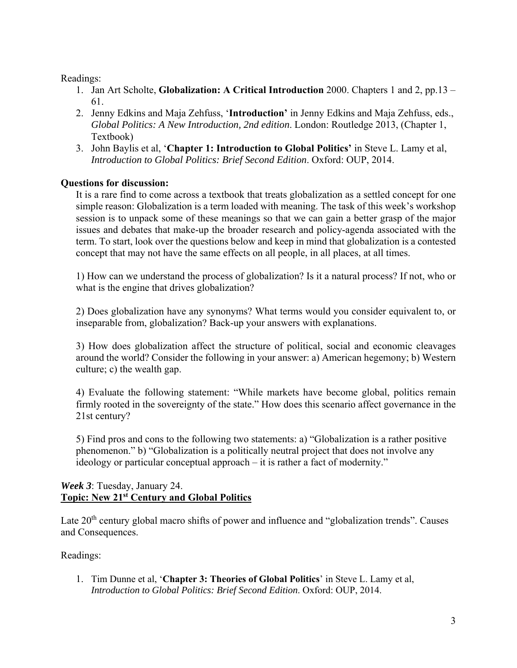Readings:

- 1. Jan Art Scholte, **Globalization: A Critical Introduction** 2000. Chapters 1 and 2, pp.13 61.
- 2. Jenny Edkins and Maja Zehfuss, '**Introduction'** in Jenny Edkins and Maja Zehfuss, eds., *Global Politics: A New Introduction, 2nd edition*. London: Routledge 2013, (Chapter 1, Textbook)
- 3. John Baylis et al, '**Chapter 1: Introduction to Global Politics'** in Steve L. Lamy et al, *Introduction to Global Politics: Brief Second Edition*. Oxford: OUP, 2014.

## **Questions for discussion:**

It is a rare find to come across a textbook that treats globalization as a settled concept for one simple reason: Globalization is a term loaded with meaning. The task of this week's workshop session is to unpack some of these meanings so that we can gain a better grasp of the major issues and debates that make-up the broader research and policy-agenda associated with the term. To start, look over the questions below and keep in mind that globalization is a contested concept that may not have the same effects on all people, in all places, at all times.

1) How can we understand the process of globalization? Is it a natural process? If not, who or what is the engine that drives globalization?

2) Does globalization have any synonyms? What terms would you consider equivalent to, or inseparable from, globalization? Back-up your answers with explanations.

3) How does globalization affect the structure of political, social and economic cleavages around the world? Consider the following in your answer: a) American hegemony; b) Western culture; c) the wealth gap.

4) Evaluate the following statement: "While markets have become global, politics remain firmly rooted in the sovereignty of the state." How does this scenario affect governance in the 21st century?

5) Find pros and cons to the following two statements: a) "Globalization is a rather positive phenomenon." b) "Globalization is a politically neutral project that does not involve any ideology or particular conceptual approach – it is rather a fact of modernity."

## *Week 3*: Tuesday, January 24. **Topic: New 21st Century and Global Politics**

Late 20<sup>th</sup> century global macro shifts of power and influence and "globalization trends". Causes and Consequences.

## Readings:

1. Tim Dunne et al, '**Chapter 3: Theories of Global Politics**' in Steve L. Lamy et al, *Introduction to Global Politics: Brief Second Edition*. Oxford: OUP, 2014.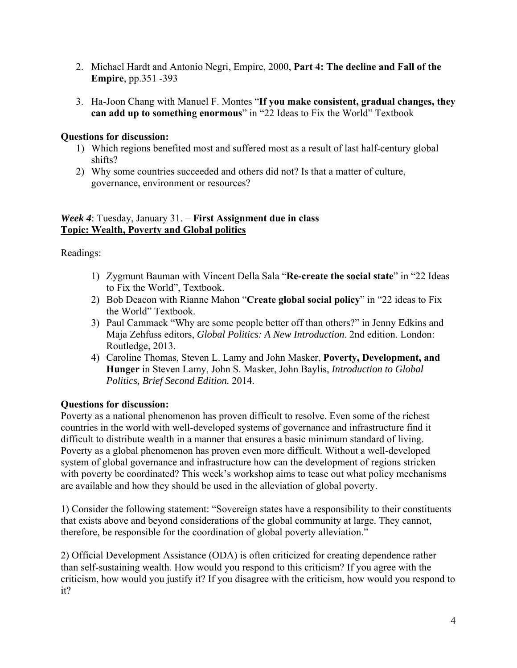- 2. Michael Hardt and Antonio Negri, Empire, 2000, **Part 4: The decline and Fall of the Empire**, pp.351 -393
- 3. Ha-Joon Chang with Manuel F. Montes "**If you make consistent, gradual changes, they can add up to something enormous**" in "22 Ideas to Fix the World" Textbook

## **Questions for discussion:**

- 1) Which regions benefited most and suffered most as a result of last half-century global shifts?
- 2) Why some countries succeeded and others did not? Is that a matter of culture, governance, environment or resources?

#### *Week 4*: Tuesday, January 31. – **First Assignment due in class Topic: Wealth, Poverty and Global politics**

Readings:

- 1) Zygmunt Bauman with Vincent Della Sala "**Re-create the social state**" in "22 Ideas to Fix the World", Textbook.
- 2) Bob Deacon with Rianne Mahon "**Create global social policy**" in "22 ideas to Fix the World" Textbook.
- 3) Paul Cammack "Why are some people better off than others?" in Jenny Edkins and Maja Zehfuss editors, *Global Politics: A New Introduction*. 2nd edition. London: Routledge, 2013.
- 4) Caroline Thomas, Steven L. Lamy and John Masker, **Poverty, Development, and Hunger** in Steven Lamy, John S. Masker, John Baylis, *Introduction to Global Politics, Brief Second Edition.* 2014.

## **Questions for discussion:**

Poverty as a national phenomenon has proven difficult to resolve. Even some of the richest countries in the world with well-developed systems of governance and infrastructure find it difficult to distribute wealth in a manner that ensures a basic minimum standard of living. Poverty as a global phenomenon has proven even more difficult. Without a well-developed system of global governance and infrastructure how can the development of regions stricken with poverty be coordinated? This week's workshop aims to tease out what policy mechanisms are available and how they should be used in the alleviation of global poverty.

1) Consider the following statement: "Sovereign states have a responsibility to their constituents that exists above and beyond considerations of the global community at large. They cannot, therefore, be responsible for the coordination of global poverty alleviation."

2) Official Development Assistance (ODA) is often criticized for creating dependence rather than self-sustaining wealth. How would you respond to this criticism? If you agree with the criticism, how would you justify it? If you disagree with the criticism, how would you respond to it?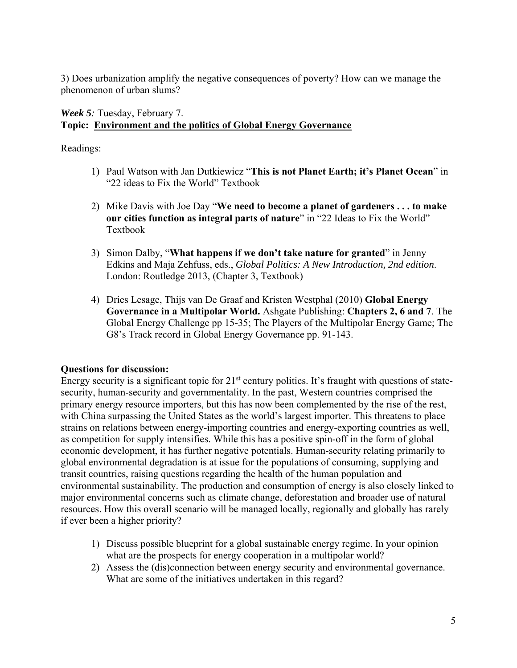3) Does urbanization amplify the negative consequences of poverty? How can we manage the phenomenon of urban slums?

# *Week 5:* Tuesday, February 7. **Topic: Environment and the politics of Global Energy Governance**

Readings:

- 1) Paul Watson with Jan Dutkiewicz "**This is not Planet Earth; it's Planet Ocean**" in "22 ideas to Fix the World" Textbook
- 2) Mike Davis with Joe Day "**We need to become a planet of gardeners . . . to make our cities function as integral parts of nature**" in "22 Ideas to Fix the World" Textbook
- 3) Simon Dalby, "**What happens if we don't take nature for granted**" in Jenny Edkins and Maja Zehfuss, eds., *Global Politics: A New Introduction, 2nd edition*. London: Routledge 2013, (Chapter 3, Textbook)
- 4) Dries Lesage, Thijs van De Graaf and Kristen Westphal (2010) **Global Energy Governance in a Multipolar World.** Ashgate Publishing: **Chapters 2, 6 and 7**. The Global Energy Challenge pp 15-35; The Players of the Multipolar Energy Game; The G8's Track record in Global Energy Governance pp. 91-143.

# **Questions for discussion:**

Energy security is a significant topic for  $21<sup>st</sup>$  century politics. It's fraught with questions of statesecurity, human-security and governmentality. In the past, Western countries comprised the primary energy resource importers, but this has now been complemented by the rise of the rest, with China surpassing the United States as the world's largest importer. This threatens to place strains on relations between energy-importing countries and energy-exporting countries as well, as competition for supply intensifies. While this has a positive spin-off in the form of global economic development, it has further negative potentials. Human-security relating primarily to global environmental degradation is at issue for the populations of consuming, supplying and transit countries, raising questions regarding the health of the human population and environmental sustainability. The production and consumption of energy is also closely linked to major environmental concerns such as climate change, deforestation and broader use of natural resources. How this overall scenario will be managed locally, regionally and globally has rarely if ever been a higher priority?

- 1) Discuss possible blueprint for a global sustainable energy regime. In your opinion what are the prospects for energy cooperation in a multipolar world?
- 2) Assess the (dis)connection between energy security and environmental governance. What are some of the initiatives undertaken in this regard?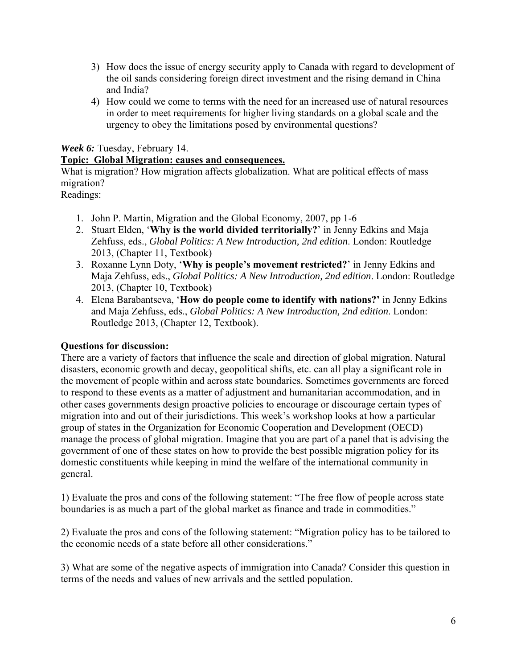- 3) How does the issue of energy security apply to Canada with regard to development of the oil sands considering foreign direct investment and the rising demand in China and India?
- 4) How could we come to terms with the need for an increased use of natural resources in order to meet requirements for higher living standards on a global scale and the urgency to obey the limitations posed by environmental questions?

*Week 6:* Tuesday, February 14.

## **Topic: Global Migration: causes and consequences.**

What is migration? How migration affects globalization. What are political effects of mass migration?

Readings:

- 1. John P. Martin, Migration and the Global Economy, 2007, pp 1-6
- 2. Stuart Elden, '**Why is the world divided territorially?**' in Jenny Edkins and Maja Zehfuss, eds., *Global Politics: A New Introduction, 2nd edition*. London: Routledge 2013, (Chapter 11, Textbook)
- 3. Roxanne Lynn Doty, '**Why is people's movement restricted?**' in Jenny Edkins and Maja Zehfuss, eds., *Global Politics: A New Introduction, 2nd edition*. London: Routledge 2013, (Chapter 10, Textbook)
- 4. Elena Barabantseva, '**How do people come to identify with nations?'** in Jenny Edkins and Maja Zehfuss, eds., *Global Politics: A New Introduction, 2nd edition*. London: Routledge 2013, (Chapter 12, Textbook).

## **Questions for discussion:**

There are a variety of factors that influence the scale and direction of global migration. Natural disasters, economic growth and decay, geopolitical shifts, etc. can all play a significant role in the movement of people within and across state boundaries. Sometimes governments are forced to respond to these events as a matter of adjustment and humanitarian accommodation, and in other cases governments design proactive policies to encourage or discourage certain types of migration into and out of their jurisdictions. This week's workshop looks at how a particular group of states in the Organization for Economic Cooperation and Development (OECD) manage the process of global migration. Imagine that you are part of a panel that is advising the government of one of these states on how to provide the best possible migration policy for its domestic constituents while keeping in mind the welfare of the international community in general.

1) Evaluate the pros and cons of the following statement: "The free flow of people across state boundaries is as much a part of the global market as finance and trade in commodities."

2) Evaluate the pros and cons of the following statement: "Migration policy has to be tailored to the economic needs of a state before all other considerations."

3) What are some of the negative aspects of immigration into Canada? Consider this question in terms of the needs and values of new arrivals and the settled population.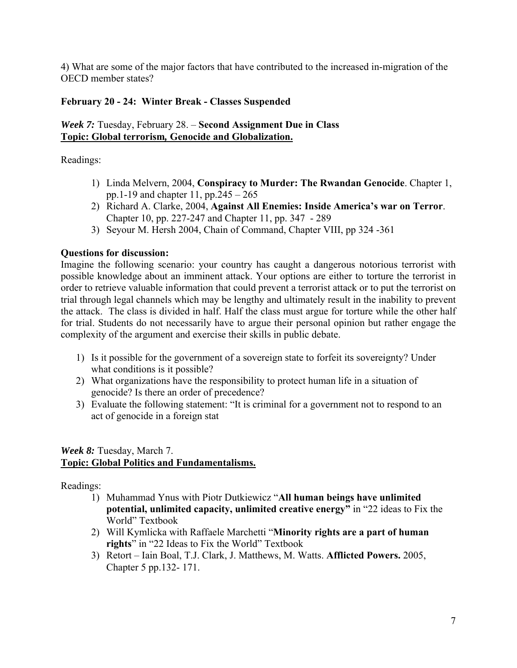4) What are some of the major factors that have contributed to the increased in-migration of the OECD member states?

## **February 20 - 24: Winter Break - Classes Suspended**

#### *Week 7:* Tuesday, February 28. – **Second Assignment Due in Class Topic: Global terrorism***,* **Genocide and Globalization.**

Readings:

- 1) Linda Melvern, 2004, **Conspiracy to Murder: The Rwandan Genocide**. Chapter 1, pp.1-19 and chapter 11, pp.245 – 265
- 2) Richard A. Clarke, 2004, **Against All Enemies: Inside America's war on Terror**. Chapter 10, pp. 227-247 and Chapter 11, pp. 347 - 289
- 3) Seyour M. Hersh 2004, Chain of Command, Chapter VIII, pp 324 -361

## **Questions for discussion:**

Imagine the following scenario: your country has caught a dangerous notorious terrorist with possible knowledge about an imminent attack. Your options are either to torture the terrorist in order to retrieve valuable information that could prevent a terrorist attack or to put the terrorist on trial through legal channels which may be lengthy and ultimately result in the inability to prevent the attack. The class is divided in half. Half the class must argue for torture while the other half for trial. Students do not necessarily have to argue their personal opinion but rather engage the complexity of the argument and exercise their skills in public debate.

- 1) Is it possible for the government of a sovereign state to forfeit its sovereignty? Under what conditions is it possible?
- 2) What organizations have the responsibility to protect human life in a situation of genocide? Is there an order of precedence?
- 3) Evaluate the following statement: "It is criminal for a government not to respond to an act of genocide in a foreign stat

## *Week 8:* Tuesday, March 7. **Topic: Global Politics and Fundamentalisms.**

Readings:

- 1) Muhammad Ynus with Piotr Dutkiewicz "**All human beings have unlimited potential, unlimited capacity, unlimited creative energy"** in "22 ideas to Fix the World" Textbook
- 2) Will Kymlicka with Raffaele Marchetti "**Minority rights are a part of human rights**" in "22 Ideas to Fix the World" Textbook
- 3) Retort Iain Boal, T.J. Clark, J. Matthews, M. Watts. **Afflicted Powers.** 2005, Chapter 5 pp.132- 171.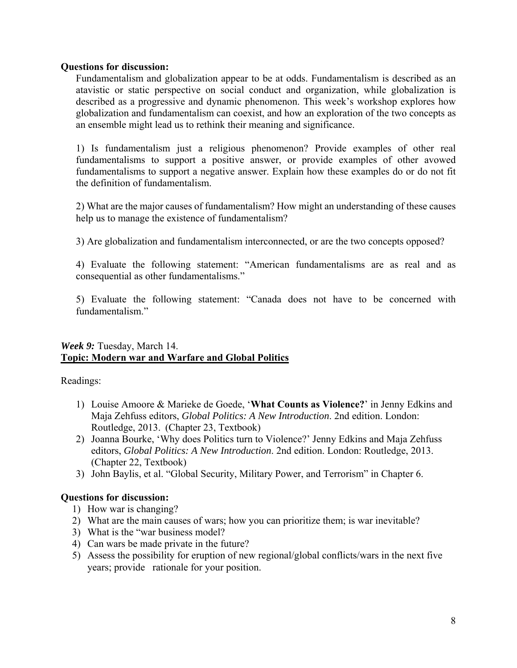#### **Questions for discussion:**

Fundamentalism and globalization appear to be at odds. Fundamentalism is described as an atavistic or static perspective on social conduct and organization, while globalization is described as a progressive and dynamic phenomenon. This week's workshop explores how globalization and fundamentalism can coexist, and how an exploration of the two concepts as an ensemble might lead us to rethink their meaning and significance.

1) Is fundamentalism just a religious phenomenon? Provide examples of other real fundamentalisms to support a positive answer, or provide examples of other avowed fundamentalisms to support a negative answer. Explain how these examples do or do not fit the definition of fundamentalism.

2) What are the major causes of fundamentalism? How might an understanding of these causes help us to manage the existence of fundamentalism?

3) Are globalization and fundamentalism interconnected, or are the two concepts opposed?

4) Evaluate the following statement: "American fundamentalisms are as real and as consequential as other fundamentalisms."

5) Evaluate the following statement: "Canada does not have to be concerned with fundamentalism."

#### *Week 9:* Tuesday, March 14. **Topic: Modern war and Warfare and Global Politics**

Readings:

- 1) Louise Amoore & Marieke de Goede, '**What Counts as Violence?**' in Jenny Edkins and Maja Zehfuss editors, *Global Politics: A New Introduction*. 2nd edition. London: Routledge, 2013. (Chapter 23, Textbook)
- 2) Joanna Bourke, 'Why does Politics turn to Violence?' Jenny Edkins and Maja Zehfuss editors, *Global Politics: A New Introduction*. 2nd edition. London: Routledge, 2013. (Chapter 22, Textbook)
- 3) John Baylis, et al. "Global Security, Military Power, and Terrorism" in Chapter 6.

## **Questions for discussion:**

- 1) How war is changing?
- 2) What are the main causes of wars; how you can prioritize them; is war inevitable?
- 3) What is the "war business model?
- 4) Can wars be made private in the future?
- 5) Assess the possibility for eruption of new regional/global conflicts/wars in the next five years; provide rationale for your position.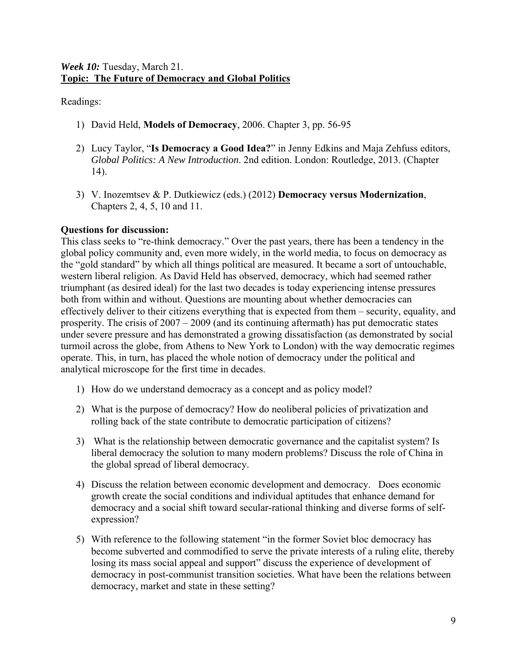Readings:

- 1) David Held, **Models of Democracy**, 2006. Chapter 3, pp. 56-95
- 2) Lucy Taylor, "**Is Democracy a Good Idea?**" in Jenny Edkins and Maja Zehfuss editors, *Global Politics: A New Introduction*. 2nd edition. London: Routledge, 2013. (Chapter 14).
- 3) V. Inozemtsev & P. Dutkiewicz (eds.) (2012) **Democracy versus Modernization**, Chapters 2, 4, 5, 10 and 11.

## **Questions for discussion:**

This class seeks to "re-think democracy." Over the past years, there has been a tendency in the global policy community and, even more widely, in the world media, to focus on democracy as the "gold standard" by which all things political are measured. It became a sort of untouchable, western liberal religion. As David Held has observed, democracy, which had seemed rather triumphant (as desired ideal) for the last two decades is today experiencing intense pressures both from within and without. Questions are mounting about whether democracies can effectively deliver to their citizens everything that is expected from them – security, equality, and prosperity. The crisis of 2007 – 2009 (and its continuing aftermath) has put democratic states under severe pressure and has demonstrated a growing dissatisfaction (as demonstrated by social turmoil across the globe, from Athens to New York to London) with the way democratic regimes operate. This, in turn, has placed the whole notion of democracy under the political and analytical microscope for the first time in decades.

- 1) How do we understand democracy as a concept and as policy model?
- 2) What is the purpose of democracy? How do neoliberal policies of privatization and rolling back of the state contribute to democratic participation of citizens?
- 3) What is the relationship between democratic governance and the capitalist system? Is liberal democracy the solution to many modern problems? Discuss the role of China in the global spread of liberal democracy.
- 4) Discuss the relation between economic development and democracy. Does economic growth create the social conditions and individual aptitudes that enhance demand for democracy and a social shift toward secular-rational thinking and diverse forms of selfexpression?
- 5) With reference to the following statement "in the former Soviet bloc democracy has become subverted and commodified to serve the private interests of a ruling elite, thereby losing its mass social appeal and support" discuss the experience of development of democracy in post-communist transition societies. What have been the relations between democracy, market and state in these setting?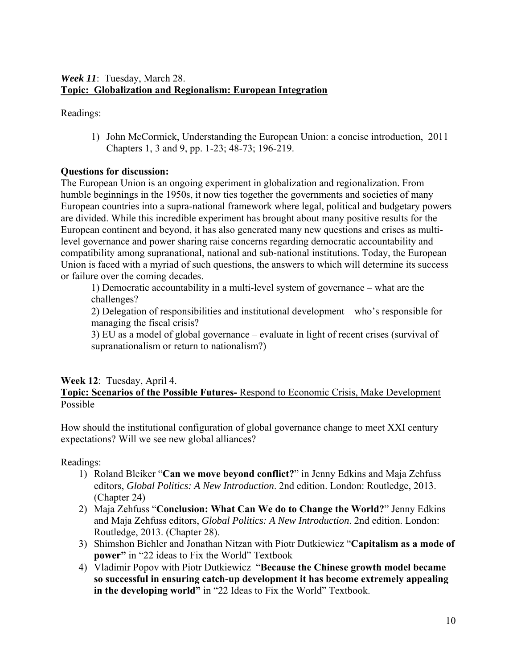## *Week 11*: Tuesday, March 28. **Topic: Globalization and Regionalism: European Integration**

Readings:

1) John McCormick, Understanding the European Union: a concise introduction, 2011 Chapters 1, 3 and 9, pp. 1-23; 48-73; 196-219.

# **Questions for discussion:**

The European Union is an ongoing experiment in globalization and regionalization. From humble beginnings in the 1950s, it now ties together the governments and societies of many European countries into a supra-national framework where legal, political and budgetary powers are divided. While this incredible experiment has brought about many positive results for the European continent and beyond, it has also generated many new questions and crises as multilevel governance and power sharing raise concerns regarding democratic accountability and compatibility among supranational, national and sub-national institutions. Today, the European Union is faced with a myriad of such questions, the answers to which will determine its success or failure over the coming decades.

1) Democratic accountability in a multi-level system of governance – what are the challenges?

2) Delegation of responsibilities and institutional development – who's responsible for managing the fiscal crisis?

3) EU as a model of global governance – evaluate in light of recent crises (survival of supranationalism or return to nationalism?)

#### **Week 12**: Tuesday, April 4. **Topic: Scenarios of the Possible Futures-** Respond to Economic Crisis, Make Development Possible

How should the institutional configuration of global governance change to meet XXI century expectations? Will we see new global alliances?

Readings:

- 1) Roland Bleiker "**Can we move beyond conflict?**" in Jenny Edkins and Maja Zehfuss editors, *Global Politics: A New Introduction*. 2nd edition. London: Routledge, 2013. (Chapter 24)
- 2) Maja Zehfuss "**Conclusion: What Can We do to Change the World?**" Jenny Edkins and Maja Zehfuss editors, *Global Politics: A New Introduction*. 2nd edition. London: Routledge, 2013. (Chapter 28).
- 3) Shimshon Bichler and Jonathan Nitzan with Piotr Dutkiewicz "**Capitalism as a mode of power"** in "22 ideas to Fix the World" Textbook
- 4) Vladimir Popov with Piotr Dutkiewicz "**Because the Chinese growth model became so successful in ensuring catch-up development it has become extremely appealing**  in the developing world" in "22 Ideas to Fix the World" Textbook.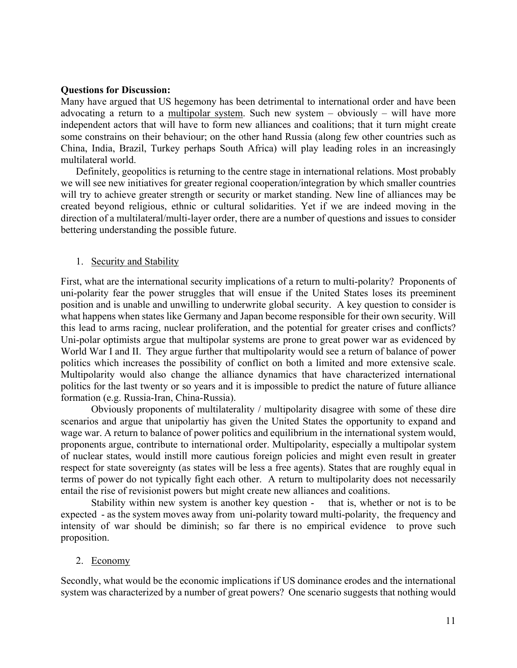#### **Questions for Discussion:**

Many have argued that US hegemony has been detrimental to international order and have been advocating a return to a multipolar system. Such new system – obviously – will have more independent actors that will have to form new alliances and coalitions; that it turn might create some constrains on their behaviour; on the other hand Russia (along few other countries such as China, India, Brazil, Turkey perhaps South Africa) will play leading roles in an increasingly multilateral world.

Definitely, geopolitics is returning to the centre stage in international relations. Most probably we will see new initiatives for greater regional cooperation/integration by which smaller countries will try to achieve greater strength or security or market standing. New line of alliances may be created beyond religious, ethnic or cultural solidarities. Yet if we are indeed moving in the direction of a multilateral/multi-layer order, there are a number of questions and issues to consider bettering understanding the possible future.

#### 1. Security and Stability

First, what are the international security implications of a return to multi-polarity? Proponents of uni-polarity fear the power struggles that will ensue if the United States loses its preeminent position and is unable and unwilling to underwrite global security. A key question to consider is what happens when states like Germany and Japan become responsible for their own security. Will this lead to arms racing, nuclear proliferation, and the potential for greater crises and conflicts? Uni-polar optimists argue that multipolar systems are prone to great power war as evidenced by World War I and II. They argue further that multipolarity would see a return of balance of power politics which increases the possibility of conflict on both a limited and more extensive scale. Multipolarity would also change the alliance dynamics that have characterized international politics for the last twenty or so years and it is impossible to predict the nature of future alliance formation (e.g. Russia-Iran, China-Russia).

Obviously proponents of multilaterality / multipolarity disagree with some of these dire scenarios and argue that unipolartiy has given the United States the opportunity to expand and wage war. A return to balance of power politics and equilibrium in the international system would, proponents argue, contribute to international order. Multipolarity, especially a multipolar system of nuclear states, would instill more cautious foreign policies and might even result in greater respect for state sovereignty (as states will be less a free agents). States that are roughly equal in terms of power do not typically fight each other. A return to multipolarity does not necessarily entail the rise of revisionist powers but might create new alliances and coalitions.

Stability within new system is another key question - that is, whether or not is to be expected - as the system moves away from uni-polarity toward multi-polarity, the frequency and intensity of war should be diminish; so far there is no empirical evidence to prove such proposition.

#### 2. Economy

Secondly, what would be the economic implications if US dominance erodes and the international system was characterized by a number of great powers? One scenario suggests that nothing would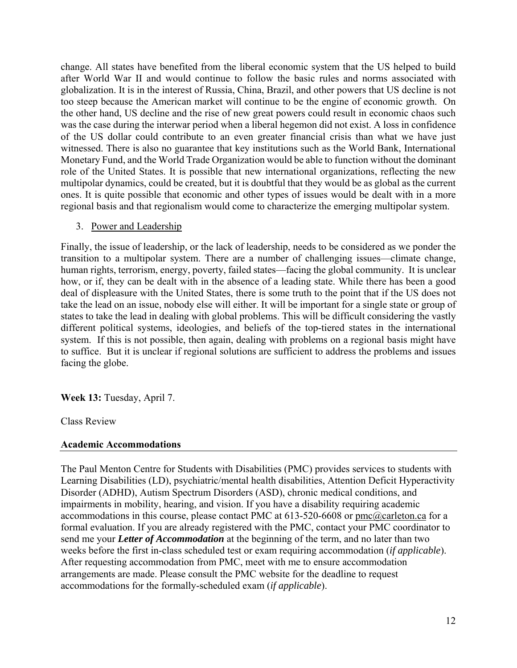change. All states have benefited from the liberal economic system that the US helped to build after World War II and would continue to follow the basic rules and norms associated with globalization. It is in the interest of Russia, China, Brazil, and other powers that US decline is not too steep because the American market will continue to be the engine of economic growth. On the other hand, US decline and the rise of new great powers could result in economic chaos such was the case during the interwar period when a liberal hegemon did not exist. A loss in confidence of the US dollar could contribute to an even greater financial crisis than what we have just witnessed. There is also no guarantee that key institutions such as the World Bank, International Monetary Fund, and the World Trade Organization would be able to function without the dominant role of the United States. It is possible that new international organizations, reflecting the new multipolar dynamics, could be created, but it is doubtful that they would be as global as the current ones. It is quite possible that economic and other types of issues would be dealt with in a more regional basis and that regionalism would come to characterize the emerging multipolar system.

## 3. Power and Leadership

Finally, the issue of leadership, or the lack of leadership, needs to be considered as we ponder the transition to a multipolar system. There are a number of challenging issues—climate change, human rights, terrorism, energy, poverty, failed states—facing the global community. It is unclear how, or if, they can be dealt with in the absence of a leading state. While there has been a good deal of displeasure with the United States, there is some truth to the point that if the US does not take the lead on an issue, nobody else will either. It will be important for a single state or group of states to take the lead in dealing with global problems. This will be difficult considering the vastly different political systems, ideologies, and beliefs of the top-tiered states in the international system. If this is not possible, then again, dealing with problems on a regional basis might have to suffice. But it is unclear if regional solutions are sufficient to address the problems and issues facing the globe.

**Week 13:** Tuesday, April 7.

Class Review

#### **Academic Accommodations**

The Paul Menton Centre for Students with Disabilities (PMC) provides services to students with Learning Disabilities (LD), psychiatric/mental health disabilities, Attention Deficit Hyperactivity Disorder (ADHD), Autism Spectrum Disorders (ASD), chronic medical conditions, and impairments in mobility, hearing, and vision. If you have a disability requiring academic accommodations in this course, please contact PMC at 613-520-6608 or pmc@carleton.ca for a formal evaluation. If you are already registered with the PMC, contact your PMC coordinator to send me your *Letter of Accommodation* at the beginning of the term, and no later than two weeks before the first in-class scheduled test or exam requiring accommodation (*if applicable*). After requesting accommodation from PMC, meet with me to ensure accommodation arrangements are made. Please consult the PMC website for the deadline to request accommodations for the formally-scheduled exam (*if applicable*).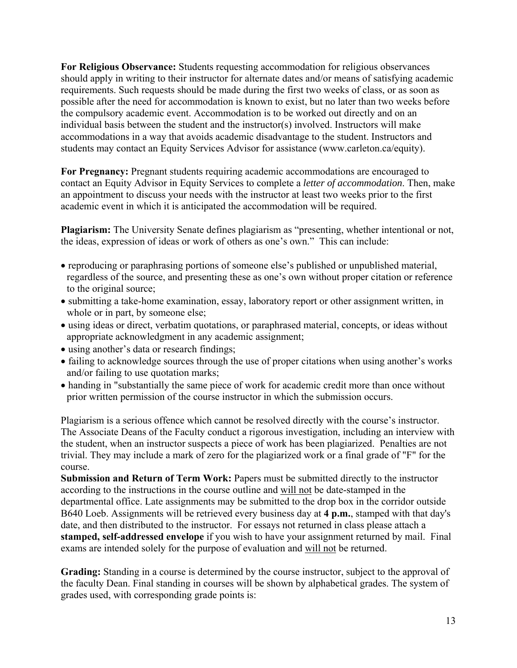**For Religious Observance:** Students requesting accommodation for religious observances should apply in writing to their instructor for alternate dates and/or means of satisfying academic requirements. Such requests should be made during the first two weeks of class, or as soon as possible after the need for accommodation is known to exist, but no later than two weeks before the compulsory academic event. Accommodation is to be worked out directly and on an individual basis between the student and the instructor(s) involved. Instructors will make accommodations in a way that avoids academic disadvantage to the student. Instructors and students may contact an Equity Services Advisor for assistance (www.carleton.ca/equity).

**For Pregnancy:** Pregnant students requiring academic accommodations are encouraged to contact an Equity Advisor in Equity Services to complete a *letter of accommodation*. Then, make an appointment to discuss your needs with the instructor at least two weeks prior to the first academic event in which it is anticipated the accommodation will be required.

**Plagiarism:** The University Senate defines plagiarism as "presenting, whether intentional or not, the ideas, expression of ideas or work of others as one's own." This can include:

- reproducing or paraphrasing portions of someone else's published or unpublished material, regardless of the source, and presenting these as one's own without proper citation or reference to the original source;
- submitting a take-home examination, essay, laboratory report or other assignment written, in whole or in part, by someone else;
- using ideas or direct, verbatim quotations, or paraphrased material, concepts, or ideas without appropriate acknowledgment in any academic assignment;
- using another's data or research findings;
- failing to acknowledge sources through the use of proper citations when using another's works and/or failing to use quotation marks;
- handing in "substantially the same piece of work for academic credit more than once without prior written permission of the course instructor in which the submission occurs.

Plagiarism is a serious offence which cannot be resolved directly with the course's instructor. The Associate Deans of the Faculty conduct a rigorous investigation, including an interview with the student, when an instructor suspects a piece of work has been plagiarized. Penalties are not trivial. They may include a mark of zero for the plagiarized work or a final grade of "F" for the course.

**Submission and Return of Term Work:** Papers must be submitted directly to the instructor according to the instructions in the course outline and will not be date-stamped in the departmental office. Late assignments may be submitted to the drop box in the corridor outside B640 Loeb. Assignments will be retrieved every business day at **4 p.m.**, stamped with that day's date, and then distributed to the instructor. For essays not returned in class please attach a **stamped, self-addressed envelope** if you wish to have your assignment returned by mail. Final exams are intended solely for the purpose of evaluation and will not be returned.

**Grading:** Standing in a course is determined by the course instructor, subject to the approval of the faculty Dean. Final standing in courses will be shown by alphabetical grades. The system of grades used, with corresponding grade points is: